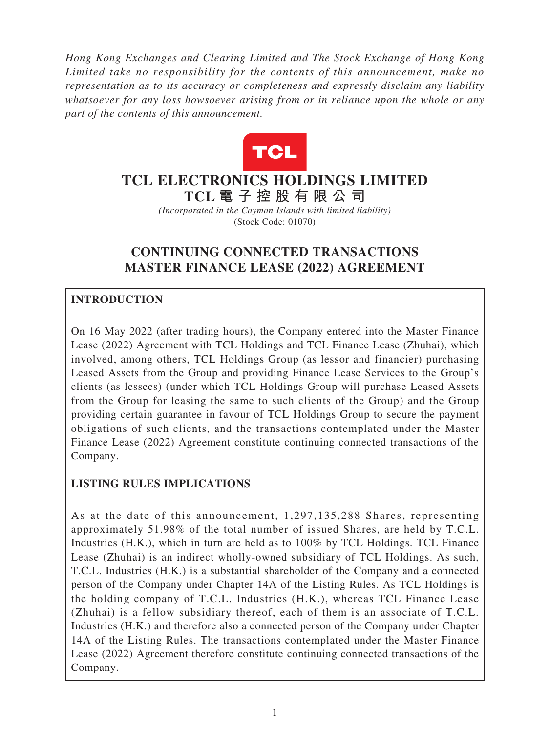*Hong Kong Exchanges and Clearing Limited and The Stock Exchange of Hong Kong Limited take no responsibility for the contents of this announcement, make no representation as to its accuracy or completeness and expressly disclaim any liability whatsoever for any loss howsoever arising from or in reliance upon the whole or any part of the contents of this announcement.*



# **TCL ELECTRONICS HOLDINGS LIMITED TCL 電子控股有限公 司**

*(Incorporated in the Cayman Islands with limited liability)* (Stock Code: 01070)

# **CONTINUING CONNECTED TRANSACTIONS MASTER FINANCE LEASE (2022) AGREEMENT**

## **INTRODUCTION**

On 16 May 2022 (after trading hours), the Company entered into the Master Finance Lease (2022) Agreement with TCL Holdings and TCL Finance Lease (Zhuhai), which involved, among others, TCL Holdings Group (as lessor and financier) purchasing Leased Assets from the Group and providing Finance Lease Services to the Group's clients (as lessees) (under which TCL Holdings Group will purchase Leased Assets from the Group for leasing the same to such clients of the Group) and the Group providing certain guarantee in favour of TCL Holdings Group to secure the payment obligations of such clients, and the transactions contemplated under the Master Finance Lease (2022) Agreement constitute continuing connected transactions of the Company.

## **LISTING RULES IMPLICATIONS**

As at the date of this announcement, 1,297,135,288 Shares, representing approximately 51.98% of the total number of issued Shares, are held by T.C.L. Industries (H.K.), which in turn are held as to 100% by TCL Holdings. TCL Finance Lease (Zhuhai) is an indirect wholly-owned subsidiary of TCL Holdings. As such, T.C.L. Industries (H.K.) is a substantial shareholder of the Company and a connected person of the Company under Chapter 14A of the Listing Rules. As TCL Holdings is the holding company of T.C.L. Industries (H.K.), whereas TCL Finance Lease (Zhuhai) is a fellow subsidiary thereof, each of them is an associate of T.C.L. Industries (H.K.) and therefore also a connected person of the Company under Chapter 14A of the Listing Rules. The transactions contemplated under the Master Finance Lease (2022) Agreement therefore constitute continuing connected transactions of the Company.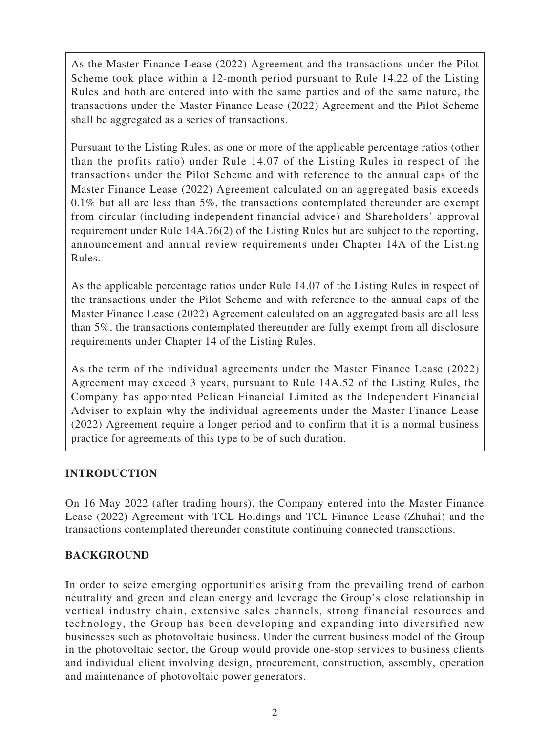As the Master Finance Lease (2022) Agreement and the transactions under the Pilot Scheme took place within a 12-month period pursuant to Rule 14.22 of the Listing Rules and both are entered into with the same parties and of the same nature, the transactions under the Master Finance Lease (2022) Agreement and the Pilot Scheme shall be aggregated as a series of transactions.

Pursuant to the Listing Rules, as one or more of the applicable percentage ratios (other than the profits ratio) under Rule 14.07 of the Listing Rules in respect of the transactions under the Pilot Scheme and with reference to the annual caps of the Master Finance Lease (2022) Agreement calculated on an aggregated basis exceeds 0.1% but all are less than 5%, the transactions contemplated thereunder are exempt from circular (including independent financial advice) and Shareholders' approval requirement under Rule 14A.76(2) of the Listing Rules but are subject to the reporting, announcement and annual review requirements under Chapter 14A of the Listing Rules.

As the applicable percentage ratios under Rule 14.07 of the Listing Rules in respect of the transactions under the Pilot Scheme and with reference to the annual caps of the Master Finance Lease (2022) Agreement calculated on an aggregated basis are all less than 5%, the transactions contemplated thereunder are fully exempt from all disclosure requirements under Chapter 14 of the Listing Rules.

As the term of the individual agreements under the Master Finance Lease (2022) Agreement may exceed 3 years, pursuant to Rule 14A.52 of the Listing Rules, the Company has appointed Pelican Financial Limited as the Independent Financial Adviser to explain why the individual agreements under the Master Finance Lease (2022) Agreement require a longer period and to confirm that it is a normal business practice for agreements of this type to be of such duration.

### **INTRODUCTION**

On 16 May 2022 (after trading hours), the Company entered into the Master Finance Lease (2022) Agreement with TCL Holdings and TCL Finance Lease (Zhuhai) and the transactions contemplated thereunder constitute continuing connected transactions.

### **BACKGROUND**

In order to seize emerging opportunities arising from the prevailing trend of carbon neutrality and green and clean energy and leverage the Group's close relationship in vertical industry chain, extensive sales channels, strong financial resources and technology, the Group has been developing and expanding into diversified new businesses such as photovoltaic business. Under the current business model of the Group in the photovoltaic sector, the Group would provide one-stop services to business clients and individual client involving design, procurement, construction, assembly, operation and maintenance of photovoltaic power generators.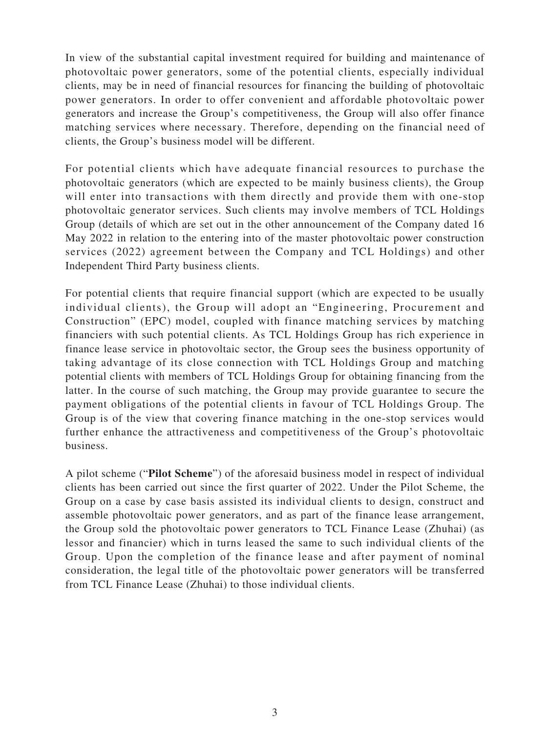In view of the substantial capital investment required for building and maintenance of photovoltaic power generators, some of the potential clients, especially individual clients, may be in need of financial resources for financing the building of photovoltaic power generators. In order to offer convenient and affordable photovoltaic power generators and increase the Group's competitiveness, the Group will also offer finance matching services where necessary. Therefore, depending on the financial need of clients, the Group's business model will be different.

For potential clients which have adequate financial resources to purchase the photovoltaic generators (which are expected to be mainly business clients), the Group will enter into transactions with them directly and provide them with one-stop photovoltaic generator services. Such clients may involve members of TCL Holdings Group (details of which are set out in the other announcement of the Company dated 16 May 2022 in relation to the entering into of the master photovoltaic power construction services (2022) agreement between the Company and TCL Holdings) and other Independent Third Party business clients.

For potential clients that require financial support (which are expected to be usually individual clients), the Group will adopt an "Engineering, Procurement and Construction" (EPC) model, coupled with finance matching services by matching financiers with such potential clients. As TCL Holdings Group has rich experience in finance lease service in photovoltaic sector, the Group sees the business opportunity of taking advantage of its close connection with TCL Holdings Group and matching potential clients with members of TCL Holdings Group for obtaining financing from the latter. In the course of such matching, the Group may provide guarantee to secure the payment obligations of the potential clients in favour of TCL Holdings Group. The Group is of the view that covering finance matching in the one-stop services would further enhance the attractiveness and competitiveness of the Group's photovoltaic business.

A pilot scheme ("**Pilot Scheme**") of the aforesaid business model in respect of individual clients has been carried out since the first quarter of 2022. Under the Pilot Scheme, the Group on a case by case basis assisted its individual clients to design, construct and assemble photovoltaic power generators, and as part of the finance lease arrangement, the Group sold the photovoltaic power generators to TCL Finance Lease (Zhuhai) (as lessor and financier) which in turns leased the same to such individual clients of the Group. Upon the completion of the finance lease and after payment of nominal consideration, the legal title of the photovoltaic power generators will be transferred from TCL Finance Lease (Zhuhai) to those individual clients.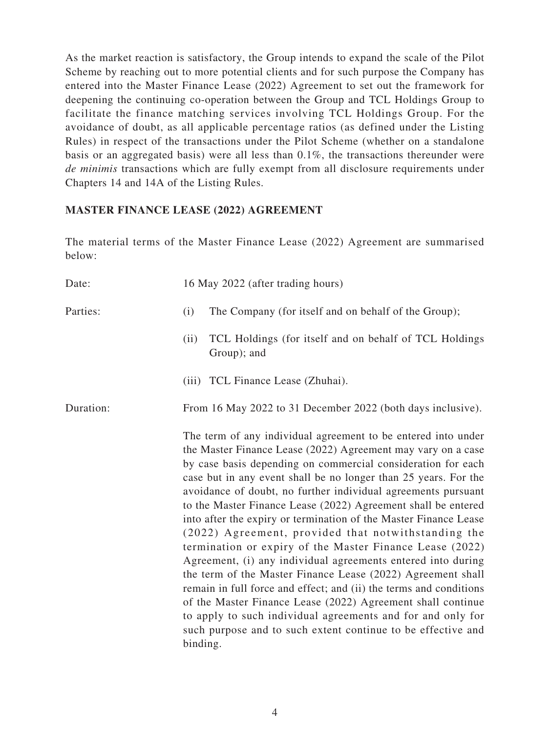As the market reaction is satisfactory, the Group intends to expand the scale of the Pilot Scheme by reaching out to more potential clients and for such purpose the Company has entered into the Master Finance Lease (2022) Agreement to set out the framework for deepening the continuing co-operation between the Group and TCL Holdings Group to facilitate the finance matching services involving TCL Holdings Group. For the avoidance of doubt, as all applicable percentage ratios (as defined under the Listing Rules) in respect of the transactions under the Pilot Scheme (whether on a standalone basis or an aggregated basis) were all less than 0.1%, the transactions thereunder were *de minimis* transactions which are fully exempt from all disclosure requirements under Chapters 14 and 14A of the Listing Rules.

#### **MASTER FINANCE LEASE (2022) AGREEMENT**

The material terms of the Master Finance Lease (2022) Agreement are summarised below:

| Date:     | 16 May 2022 (after trading hours)                                                                                                                                                                                                                                                                                                                                                                                                                                                                                                                                                                                                                                                                                                                                                                                                                                                                                                                                                                        |
|-----------|----------------------------------------------------------------------------------------------------------------------------------------------------------------------------------------------------------------------------------------------------------------------------------------------------------------------------------------------------------------------------------------------------------------------------------------------------------------------------------------------------------------------------------------------------------------------------------------------------------------------------------------------------------------------------------------------------------------------------------------------------------------------------------------------------------------------------------------------------------------------------------------------------------------------------------------------------------------------------------------------------------|
| Parties:  | The Company (for itself and on behalf of the Group);<br>(i)                                                                                                                                                                                                                                                                                                                                                                                                                                                                                                                                                                                                                                                                                                                                                                                                                                                                                                                                              |
|           | TCL Holdings (for itself and on behalf of TCL Holdings<br>(ii)<br>Group); and                                                                                                                                                                                                                                                                                                                                                                                                                                                                                                                                                                                                                                                                                                                                                                                                                                                                                                                            |
|           | (iii) TCL Finance Lease (Zhuhai).                                                                                                                                                                                                                                                                                                                                                                                                                                                                                                                                                                                                                                                                                                                                                                                                                                                                                                                                                                        |
| Duration: | From 16 May 2022 to 31 December 2022 (both days inclusive).                                                                                                                                                                                                                                                                                                                                                                                                                                                                                                                                                                                                                                                                                                                                                                                                                                                                                                                                              |
|           | The term of any individual agreement to be entered into under<br>the Master Finance Lease (2022) Agreement may vary on a case<br>by case basis depending on commercial consideration for each<br>case but in any event shall be no longer than 25 years. For the<br>avoidance of doubt, no further individual agreements pursuant<br>to the Master Finance Lease (2022) Agreement shall be entered<br>into after the expiry or termination of the Master Finance Lease<br>(2022) Agreement, provided that notwithstanding the<br>termination or expiry of the Master Finance Lease (2022)<br>Agreement, (i) any individual agreements entered into during<br>the term of the Master Finance Lease (2022) Agreement shall<br>remain in full force and effect; and (ii) the terms and conditions<br>of the Master Finance Lease (2022) Agreement shall continue<br>to apply to such individual agreements and for and only for<br>such purpose and to such extent continue to be effective and<br>binding. |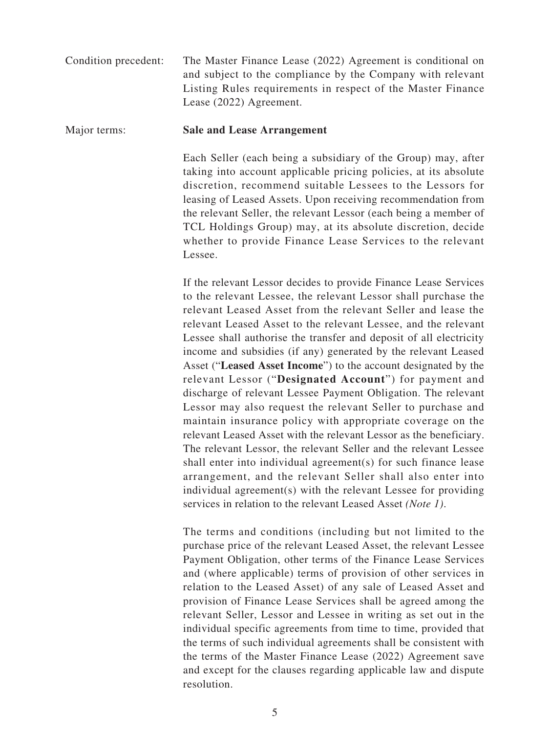Condition precedent: The Master Finance Lease (2022) Agreement is conditional on and subject to the compliance by the Company with relevant Listing Rules requirements in respect of the Master Finance Lease (2022) Agreement.

#### Major terms: **Sale and Lease Arrangement**

Each Seller (each being a subsidiary of the Group) may, after taking into account applicable pricing policies, at its absolute discretion, recommend suitable Lessees to the Lessors for leasing of Leased Assets. Upon receiving recommendation from the relevant Seller, the relevant Lessor (each being a member of TCL Holdings Group) may, at its absolute discretion, decide whether to provide Finance Lease Services to the relevant Lessee.

If the relevant Lessor decides to provide Finance Lease Services to the relevant Lessee, the relevant Lessor shall purchase the relevant Leased Asset from the relevant Seller and lease the relevant Leased Asset to the relevant Lessee, and the relevant Lessee shall authorise the transfer and deposit of all electricity income and subsidies (if any) generated by the relevant Leased Asset ("**Leased Asset Income**") to the account designated by the relevant Lessor ("**Designated Account**") for payment and discharge of relevant Lessee Payment Obligation. The relevant Lessor may also request the relevant Seller to purchase and maintain insurance policy with appropriate coverage on the relevant Leased Asset with the relevant Lessor as the beneficiary. The relevant Lessor, the relevant Seller and the relevant Lessee shall enter into individual agreement(s) for such finance lease arrangement, and the relevant Seller shall also enter into individual agreement(s) with the relevant Lessee for providing services in relation to the relevant Leased Asset *(Note 1)*.

The terms and conditions (including but not limited to the purchase price of the relevant Leased Asset, the relevant Lessee Payment Obligation, other terms of the Finance Lease Services and (where applicable) terms of provision of other services in relation to the Leased Asset) of any sale of Leased Asset and provision of Finance Lease Services shall be agreed among the relevant Seller, Lessor and Lessee in writing as set out in the individual specific agreements from time to time, provided that the terms of such individual agreements shall be consistent with the terms of the Master Finance Lease (2022) Agreement save and except for the clauses regarding applicable law and dispute resolution.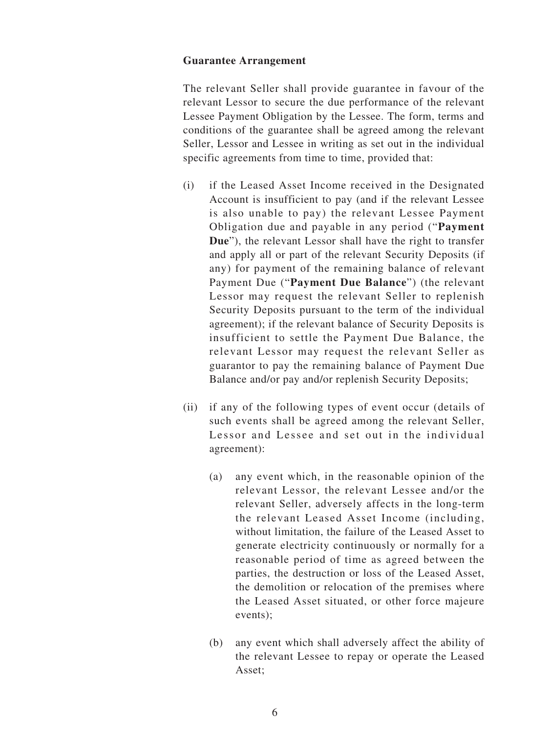#### **Guarantee Arrangement**

The relevant Seller shall provide guarantee in favour of the relevant Lessor to secure the due performance of the relevant Lessee Payment Obligation by the Lessee. The form, terms and conditions of the guarantee shall be agreed among the relevant Seller, Lessor and Lessee in writing as set out in the individual specific agreements from time to time, provided that:

- (i) if the Leased Asset Income received in the Designated Account is insufficient to pay (and if the relevant Lessee is also unable to pay) the relevant Lessee Payment Obligation due and payable in any period ("**Payment Due**"), the relevant Lessor shall have the right to transfer and apply all or part of the relevant Security Deposits (if any) for payment of the remaining balance of relevant Payment Due ("**Payment Due Balance**") (the relevant Lessor may request the relevant Seller to replenish Security Deposits pursuant to the term of the individual agreement); if the relevant balance of Security Deposits is insufficient to settle the Payment Due Balance, the relevant Lessor may request the relevant Seller as guarantor to pay the remaining balance of Payment Due Balance and/or pay and/or replenish Security Deposits;
- (ii) if any of the following types of event occur (details of such events shall be agreed among the relevant Seller, Lessor and Lessee and set out in the individual agreement):
	- (a) any event which, in the reasonable opinion of the relevant Lessor, the relevant Lessee and/or the relevant Seller, adversely affects in the long-term the relevant Leased Asset Income (including, without limitation, the failure of the Leased Asset to generate electricity continuously or normally for a reasonable period of time as agreed between the parties, the destruction or loss of the Leased Asset, the demolition or relocation of the premises where the Leased Asset situated, or other force majeure events);
	- (b) any event which shall adversely affect the ability of the relevant Lessee to repay or operate the Leased Asset;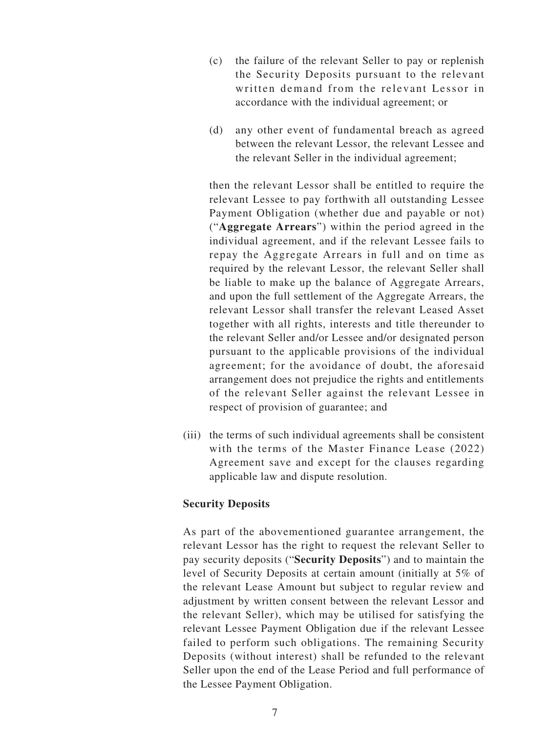- (c) the failure of the relevant Seller to pay or replenish the Security Deposits pursuant to the relevant written demand from the relevant Lessor in accordance with the individual agreement; or
- (d) any other event of fundamental breach as agreed between the relevant Lessor, the relevant Lessee and the relevant Seller in the individual agreement;

then the relevant Lessor shall be entitled to require the relevant Lessee to pay forthwith all outstanding Lessee Payment Obligation (whether due and payable or not) ("**Aggregate Arrears**") within the period agreed in the individual agreement, and if the relevant Lessee fails to repay the Aggregate Arrears in full and on time as required by the relevant Lessor, the relevant Seller shall be liable to make up the balance of Aggregate Arrears, and upon the full settlement of the Aggregate Arrears, the relevant Lessor shall transfer the relevant Leased Asset together with all rights, interests and title thereunder to the relevant Seller and/or Lessee and/or designated person pursuant to the applicable provisions of the individual agreement; for the avoidance of doubt, the aforesaid arrangement does not prejudice the rights and entitlements of the relevant Seller against the relevant Lessee in respect of provision of guarantee; and

(iii) the terms of such individual agreements shall be consistent with the terms of the Master Finance Lease (2022) Agreement save and except for the clauses regarding applicable law and dispute resolution.

#### **Security Deposits**

As part of the abovementioned guarantee arrangement, the relevant Lessor has the right to request the relevant Seller to pay security deposits ("**Security Deposits**") and to maintain the level of Security Deposits at certain amount (initially at 5% of the relevant Lease Amount but subject to regular review and adjustment by written consent between the relevant Lessor and the relevant Seller), which may be utilised for satisfying the relevant Lessee Payment Obligation due if the relevant Lessee failed to perform such obligations. The remaining Security Deposits (without interest) shall be refunded to the relevant Seller upon the end of the Lease Period and full performance of the Lessee Payment Obligation.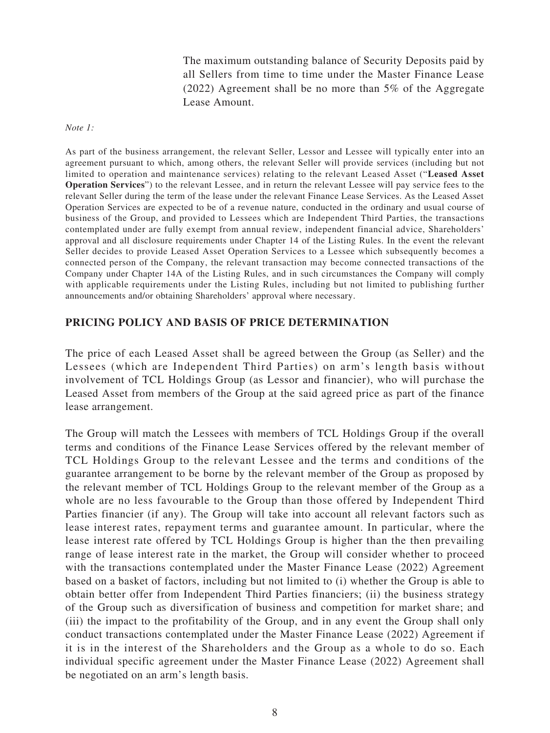The maximum outstanding balance of Security Deposits paid by all Sellers from time to time under the Master Finance Lease (2022) Agreement shall be no more than 5% of the Aggregate Lease Amount.

*Note 1:*

As part of the business arrangement, the relevant Seller, Lessor and Lessee will typically enter into an agreement pursuant to which, among others, the relevant Seller will provide services (including but not limited to operation and maintenance services) relating to the relevant Leased Asset ("**Leased Asset Operation Services**") to the relevant Lessee, and in return the relevant Lessee will pay service fees to the relevant Seller during the term of the lease under the relevant Finance Lease Services. As the Leased Asset Operation Services are expected to be of a revenue nature, conducted in the ordinary and usual course of business of the Group, and provided to Lessees which are Independent Third Parties, the transactions contemplated under are fully exempt from annual review, independent financial advice, Shareholders' approval and all disclosure requirements under Chapter 14 of the Listing Rules. In the event the relevant Seller decides to provide Leased Asset Operation Services to a Lessee which subsequently becomes a connected person of the Company, the relevant transaction may become connected transactions of the Company under Chapter 14A of the Listing Rules, and in such circumstances the Company will comply with applicable requirements under the Listing Rules, including but not limited to publishing further announcements and/or obtaining Shareholders' approval where necessary.

#### **PRICING POLICY AND BASIS OF PRICE DETERMINATION**

The price of each Leased Asset shall be agreed between the Group (as Seller) and the Lessees (which are Independent Third Parties) on arm's length basis without involvement of TCL Holdings Group (as Lessor and financier), who will purchase the Leased Asset from members of the Group at the said agreed price as part of the finance lease arrangement.

The Group will match the Lessees with members of TCL Holdings Group if the overall terms and conditions of the Finance Lease Services offered by the relevant member of TCL Holdings Group to the relevant Lessee and the terms and conditions of the guarantee arrangement to be borne by the relevant member of the Group as proposed by the relevant member of TCL Holdings Group to the relevant member of the Group as a whole are no less favourable to the Group than those offered by Independent Third Parties financier (if any). The Group will take into account all relevant factors such as lease interest rates, repayment terms and guarantee amount. In particular, where the lease interest rate offered by TCL Holdings Group is higher than the then prevailing range of lease interest rate in the market, the Group will consider whether to proceed with the transactions contemplated under the Master Finance Lease (2022) Agreement based on a basket of factors, including but not limited to (i) whether the Group is able to obtain better offer from Independent Third Parties financiers; (ii) the business strategy of the Group such as diversification of business and competition for market share; and (iii) the impact to the profitability of the Group, and in any event the Group shall only conduct transactions contemplated under the Master Finance Lease (2022) Agreement if it is in the interest of the Shareholders and the Group as a whole to do so. Each individual specific agreement under the Master Finance Lease (2022) Agreement shall be negotiated on an arm's length basis.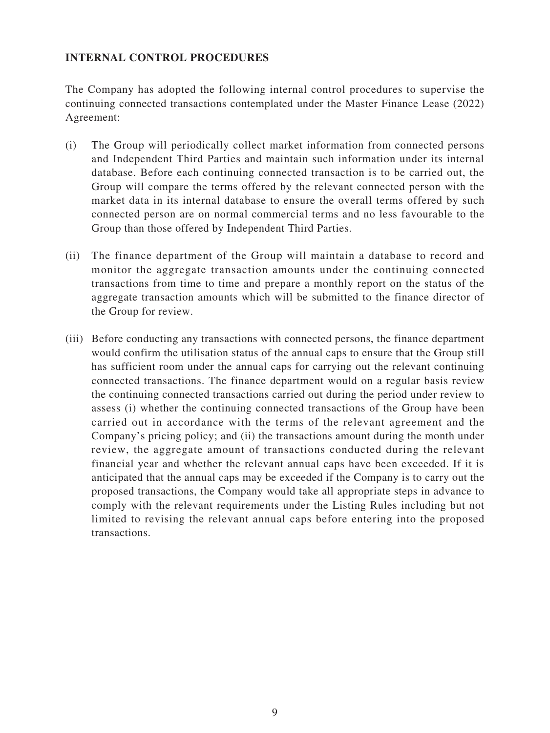## **INTERNAL CONTROL PROCEDURES**

The Company has adopted the following internal control procedures to supervise the continuing connected transactions contemplated under the Master Finance Lease (2022) Agreement:

- (i) The Group will periodically collect market information from connected persons and Independent Third Parties and maintain such information under its internal database. Before each continuing connected transaction is to be carried out, the Group will compare the terms offered by the relevant connected person with the market data in its internal database to ensure the overall terms offered by such connected person are on normal commercial terms and no less favourable to the Group than those offered by Independent Third Parties.
- (ii) The finance department of the Group will maintain a database to record and monitor the aggregate transaction amounts under the continuing connected transactions from time to time and prepare a monthly report on the status of the aggregate transaction amounts which will be submitted to the finance director of the Group for review.
- (iii) Before conducting any transactions with connected persons, the finance department would confirm the utilisation status of the annual caps to ensure that the Group still has sufficient room under the annual caps for carrying out the relevant continuing connected transactions. The finance department would on a regular basis review the continuing connected transactions carried out during the period under review to assess (i) whether the continuing connected transactions of the Group have been carried out in accordance with the terms of the relevant agreement and the Company's pricing policy; and (ii) the transactions amount during the month under review, the aggregate amount of transactions conducted during the relevant financial year and whether the relevant annual caps have been exceeded. If it is anticipated that the annual caps may be exceeded if the Company is to carry out the proposed transactions, the Company would take all appropriate steps in advance to comply with the relevant requirements under the Listing Rules including but not limited to revising the relevant annual caps before entering into the proposed transactions.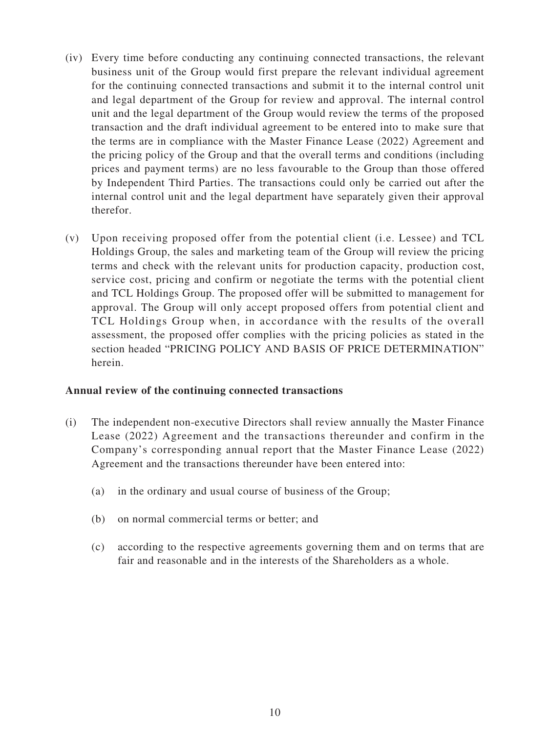- (iv) Every time before conducting any continuing connected transactions, the relevant business unit of the Group would first prepare the relevant individual agreement for the continuing connected transactions and submit it to the internal control unit and legal department of the Group for review and approval. The internal control unit and the legal department of the Group would review the terms of the proposed transaction and the draft individual agreement to be entered into to make sure that the terms are in compliance with the Master Finance Lease (2022) Agreement and the pricing policy of the Group and that the overall terms and conditions (including prices and payment terms) are no less favourable to the Group than those offered by Independent Third Parties. The transactions could only be carried out after the internal control unit and the legal department have separately given their approval therefor.
- (v) Upon receiving proposed offer from the potential client (i.e. Lessee) and TCL Holdings Group, the sales and marketing team of the Group will review the pricing terms and check with the relevant units for production capacity, production cost, service cost, pricing and confirm or negotiate the terms with the potential client and TCL Holdings Group. The proposed offer will be submitted to management for approval. The Group will only accept proposed offers from potential client and TCL Holdings Group when, in accordance with the results of the overall assessment, the proposed offer complies with the pricing policies as stated in the section headed "PRICING POLICY AND BASIS OF PRICE DETERMINATION" herein.

#### **Annual review of the continuing connected transactions**

- (i) The independent non-executive Directors shall review annually the Master Finance Lease (2022) Agreement and the transactions thereunder and confirm in the Company's corresponding annual report that the Master Finance Lease (2022) Agreement and the transactions thereunder have been entered into:
	- (a) in the ordinary and usual course of business of the Group;
	- (b) on normal commercial terms or better; and
	- (c) according to the respective agreements governing them and on terms that are fair and reasonable and in the interests of the Shareholders as a whole.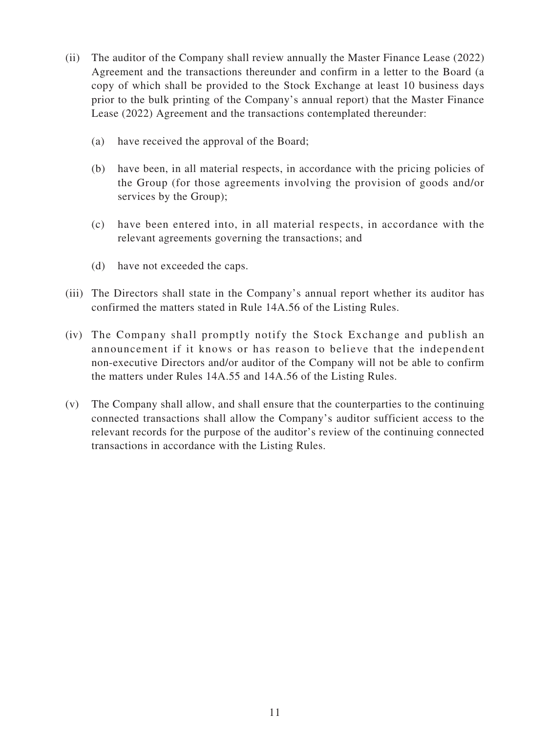- (ii) The auditor of the Company shall review annually the Master Finance Lease (2022) Agreement and the transactions thereunder and confirm in a letter to the Board (a copy of which shall be provided to the Stock Exchange at least 10 business days prior to the bulk printing of the Company's annual report) that the Master Finance Lease (2022) Agreement and the transactions contemplated thereunder:
	- (a) have received the approval of the Board;
	- (b) have been, in all material respects, in accordance with the pricing policies of the Group (for those agreements involving the provision of goods and/or services by the Group);
	- (c) have been entered into, in all material respects, in accordance with the relevant agreements governing the transactions; and
	- (d) have not exceeded the caps.
- (iii) The Directors shall state in the Company's annual report whether its auditor has confirmed the matters stated in Rule 14A.56 of the Listing Rules.
- (iv) The Company shall promptly notify the Stock Exchange and publish an announcement if it knows or has reason to believe that the independent non-executive Directors and/or auditor of the Company will not be able to confirm the matters under Rules 14A.55 and 14A.56 of the Listing Rules.
- (v) The Company shall allow, and shall ensure that the counterparties to the continuing connected transactions shall allow the Company's auditor sufficient access to the relevant records for the purpose of the auditor's review of the continuing connected transactions in accordance with the Listing Rules.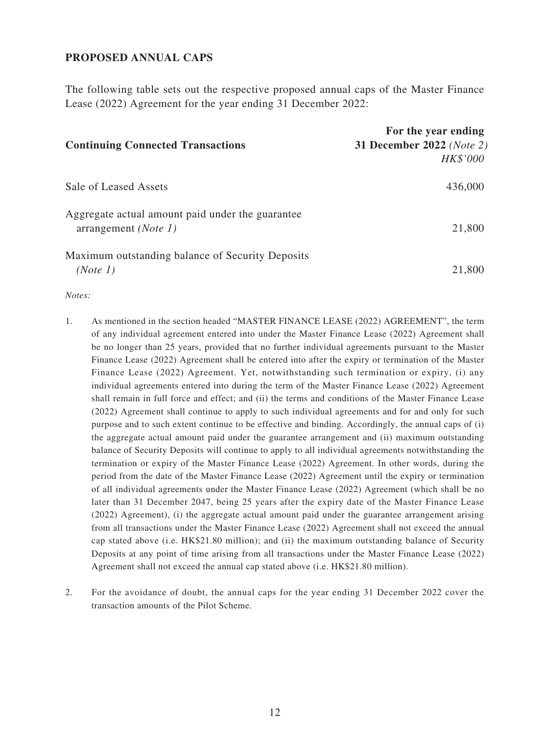#### **PROPOSED ANNUAL CAPS**

The following table sets out the respective proposed annual caps of the Master Finance Lease (2022) Agreement for the year ending 31 December 2022:

| <b>Continuing Connected Transactions</b>                                          | For the year ending<br>31 December 2022 (Note 2)<br>HK\$'000 |
|-----------------------------------------------------------------------------------|--------------------------------------------------------------|
| Sale of Leased Assets                                                             | 436,000                                                      |
| Aggregate actual amount paid under the guarantee<br>arrangement ( <i>Note 1</i> ) | 21,800                                                       |
| Maximum outstanding balance of Security Deposits<br>(Note 1)                      | 21,800                                                       |

*Notes:*

- 1. As mentioned in the section headed "MASTER FINANCE LEASE (2022) AGREEMENT", the term of any individual agreement entered into under the Master Finance Lease (2022) Agreement shall be no longer than 25 years, provided that no further individual agreements pursuant to the Master Finance Lease (2022) Agreement shall be entered into after the expiry or termination of the Master Finance Lease (2022) Agreement. Yet, notwithstanding such termination or expiry, (i) any individual agreements entered into during the term of the Master Finance Lease (2022) Agreement shall remain in full force and effect; and (ii) the terms and conditions of the Master Finance Lease (2022) Agreement shall continue to apply to such individual agreements and for and only for such purpose and to such extent continue to be effective and binding. Accordingly, the annual caps of (i) the aggregate actual amount paid under the guarantee arrangement and (ii) maximum outstanding balance of Security Deposits will continue to apply to all individual agreements notwithstanding the termination or expiry of the Master Finance Lease (2022) Agreement. In other words, during the period from the date of the Master Finance Lease (2022) Agreement until the expiry or termination of all individual agreements under the Master Finance Lease (2022) Agreement (which shall be no later than 31 December 2047, being 25 years after the expiry date of the Master Finance Lease (2022) Agreement), (i) the aggregate actual amount paid under the guarantee arrangement arising from all transactions under the Master Finance Lease (2022) Agreement shall not exceed the annual cap stated above (i.e. HK\$21.80 million); and (ii) the maximum outstanding balance of Security Deposits at any point of time arising from all transactions under the Master Finance Lease (2022) Agreement shall not exceed the annual cap stated above (i.e. HK\$21.80 million).
- 2. For the avoidance of doubt, the annual caps for the year ending 31 December 2022 cover the transaction amounts of the Pilot Scheme.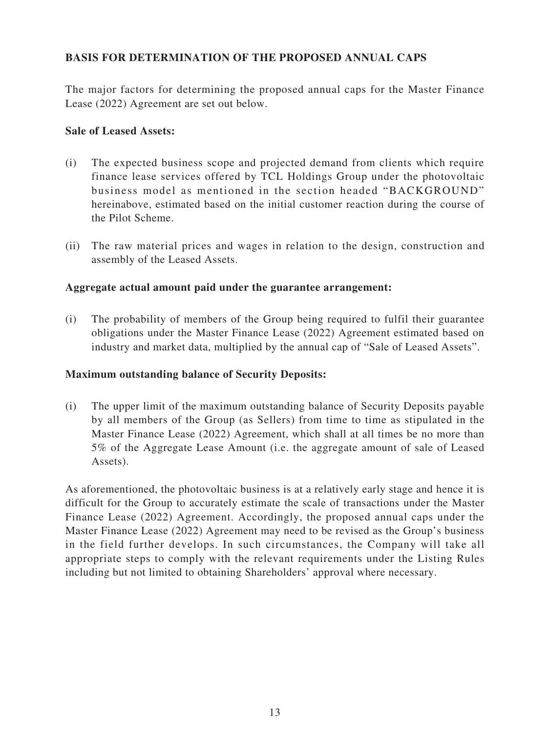## **BASIS FOR DETERMINATION OF THE PROPOSED ANNUAL CAPS**

The major factors for determining the proposed annual caps for the Master Finance Lease (2022) Agreement are set out below.

#### **Sale of Leased Assets:**

- (i) The expected business scope and projected demand from clients which require finance lease services offered by TCL Holdings Group under the photovoltaic business model as mentioned in the section headed "BACKGROUND" hereinabove, estimated based on the initial customer reaction during the course of the Pilot Scheme.
- (ii) The raw material prices and wages in relation to the design, construction and assembly of the Leased Assets.

#### **Aggregate actual amount paid under the guarantee arrangement:**

(i) The probability of members of the Group being required to fulfil their guarantee obligations under the Master Finance Lease (2022) Agreement estimated based on industry and market data, multiplied by the annual cap of "Sale of Leased Assets".

#### **Maximum outstanding balance of Security Deposits:**

(i) The upper limit of the maximum outstanding balance of Security Deposits payable by all members of the Group (as Sellers) from time to time as stipulated in the Master Finance Lease (2022) Agreement, which shall at all times be no more than 5% of the Aggregate Lease Amount (i.e. the aggregate amount of sale of Leased Assets).

As aforementioned, the photovoltaic business is at a relatively early stage and hence it is difficult for the Group to accurately estimate the scale of transactions under the Master Finance Lease (2022) Agreement. Accordingly, the proposed annual caps under the Master Finance Lease (2022) Agreement may need to be revised as the Group's business in the field further develops. In such circumstances, the Company will take all appropriate steps to comply with the relevant requirements under the Listing Rules including but not limited to obtaining Shareholders' approval where necessary.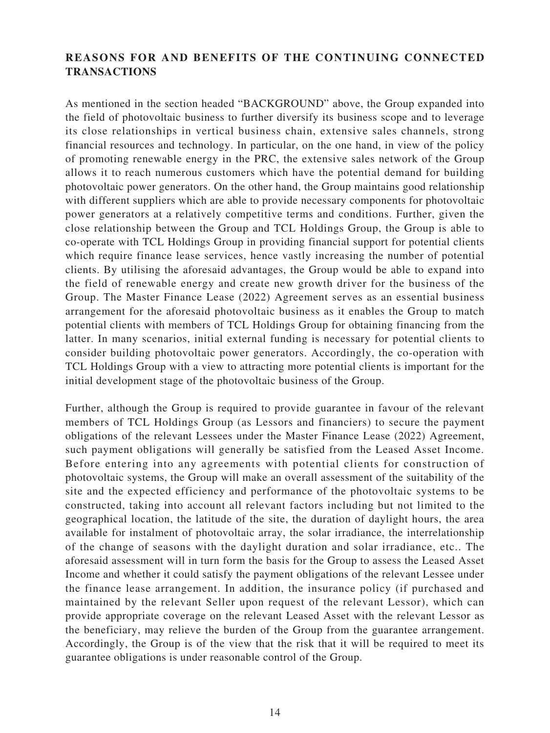## **REASONS FOR AND BENEFITS OF THE CONTINUING CONNECTED TRANSACTIONS**

As mentioned in the section headed "BACKGROUND" above, the Group expanded into the field of photovoltaic business to further diversify its business scope and to leverage its close relationships in vertical business chain, extensive sales channels, strong financial resources and technology. In particular, on the one hand, in view of the policy of promoting renewable energy in the PRC, the extensive sales network of the Group allows it to reach numerous customers which have the potential demand for building photovoltaic power generators. On the other hand, the Group maintains good relationship with different suppliers which are able to provide necessary components for photovoltaic power generators at a relatively competitive terms and conditions. Further, given the close relationship between the Group and TCL Holdings Group, the Group is able to co-operate with TCL Holdings Group in providing financial support for potential clients which require finance lease services, hence vastly increasing the number of potential clients. By utilising the aforesaid advantages, the Group would be able to expand into the field of renewable energy and create new growth driver for the business of the Group. The Master Finance Lease (2022) Agreement serves as an essential business arrangement for the aforesaid photovoltaic business as it enables the Group to match potential clients with members of TCL Holdings Group for obtaining financing from the latter. In many scenarios, initial external funding is necessary for potential clients to consider building photovoltaic power generators. Accordingly, the co-operation with TCL Holdings Group with a view to attracting more potential clients is important for the initial development stage of the photovoltaic business of the Group.

Further, although the Group is required to provide guarantee in favour of the relevant members of TCL Holdings Group (as Lessors and financiers) to secure the payment obligations of the relevant Lessees under the Master Finance Lease (2022) Agreement, such payment obligations will generally be satisfied from the Leased Asset Income. Before entering into any agreements with potential clients for construction of photovoltaic systems, the Group will make an overall assessment of the suitability of the site and the expected efficiency and performance of the photovoltaic systems to be constructed, taking into account all relevant factors including but not limited to the geographical location, the latitude of the site, the duration of daylight hours, the area available for instalment of photovoltaic array, the solar irradiance, the interrelationship of the change of seasons with the daylight duration and solar irradiance, etc.. The aforesaid assessment will in turn form the basis for the Group to assess the Leased Asset Income and whether it could satisfy the payment obligations of the relevant Lessee under the finance lease arrangement. In addition, the insurance policy (if purchased and maintained by the relevant Seller upon request of the relevant Lessor), which can provide appropriate coverage on the relevant Leased Asset with the relevant Lessor as the beneficiary, may relieve the burden of the Group from the guarantee arrangement. Accordingly, the Group is of the view that the risk that it will be required to meet its guarantee obligations is under reasonable control of the Group.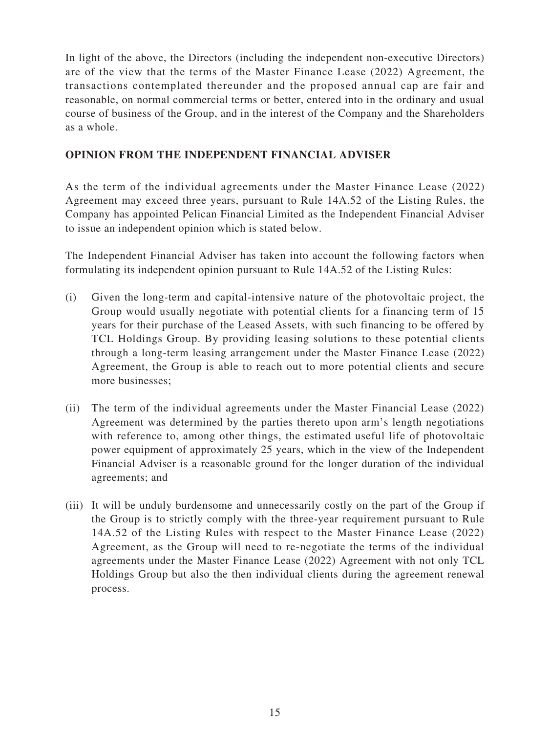In light of the above, the Directors (including the independent non-executive Directors) are of the view that the terms of the Master Finance Lease (2022) Agreement, the transactions contemplated thereunder and the proposed annual cap are fair and reasonable, on normal commercial terms or better, entered into in the ordinary and usual course of business of the Group, and in the interest of the Company and the Shareholders as a whole.

## **OPINION FROM THE INDEPENDENT FINANCIAL ADVISER**

As the term of the individual agreements under the Master Finance Lease (2022) Agreement may exceed three years, pursuant to Rule 14A.52 of the Listing Rules, the Company has appointed Pelican Financial Limited as the Independent Financial Adviser to issue an independent opinion which is stated below.

The Independent Financial Adviser has taken into account the following factors when formulating its independent opinion pursuant to Rule 14A.52 of the Listing Rules:

- (i) Given the long-term and capital-intensive nature of the photovoltaic project, the Group would usually negotiate with potential clients for a financing term of 15 years for their purchase of the Leased Assets, with such financing to be offered by TCL Holdings Group. By providing leasing solutions to these potential clients through a long-term leasing arrangement under the Master Finance Lease (2022) Agreement, the Group is able to reach out to more potential clients and secure more businesses;
- (ii) The term of the individual agreements under the Master Financial Lease (2022) Agreement was determined by the parties thereto upon arm's length negotiations with reference to, among other things, the estimated useful life of photovoltaic power equipment of approximately 25 years, which in the view of the Independent Financial Adviser is a reasonable ground for the longer duration of the individual agreements; and
- (iii) It will be unduly burdensome and unnecessarily costly on the part of the Group if the Group is to strictly comply with the three-year requirement pursuant to Rule 14A.52 of the Listing Rules with respect to the Master Finance Lease (2022) Agreement, as the Group will need to re-negotiate the terms of the individual agreements under the Master Finance Lease (2022) Agreement with not only TCL Holdings Group but also the then individual clients during the agreement renewal process.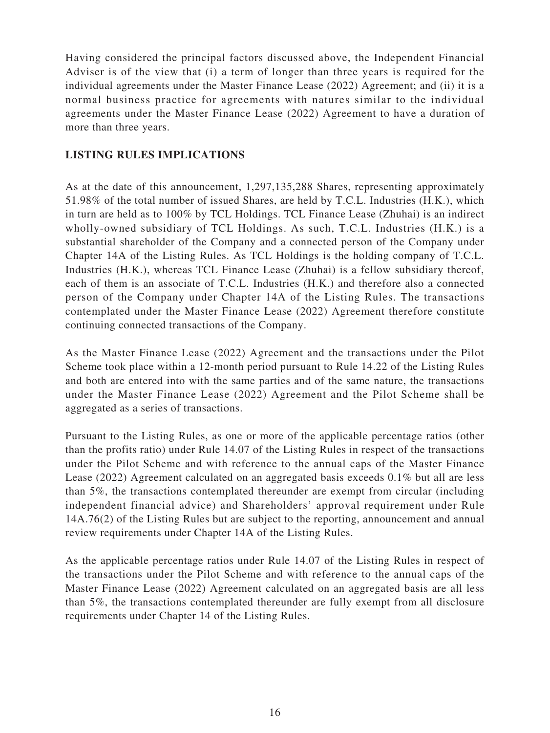Having considered the principal factors discussed above, the Independent Financial Adviser is of the view that (i) a term of longer than three years is required for the individual agreements under the Master Finance Lease (2022) Agreement; and (ii) it is a normal business practice for agreements with natures similar to the individual agreements under the Master Finance Lease (2022) Agreement to have a duration of more than three years.

## **LISTING RULES IMPLICATIONS**

As at the date of this announcement, 1,297,135,288 Shares, representing approximately 51.98% of the total number of issued Shares, are held by T.C.L. Industries (H.K.), which in turn are held as to 100% by TCL Holdings. TCL Finance Lease (Zhuhai) is an indirect wholly-owned subsidiary of TCL Holdings. As such, T.C.L. Industries (H.K.) is a substantial shareholder of the Company and a connected person of the Company under Chapter 14A of the Listing Rules. As TCL Holdings is the holding company of T.C.L. Industries (H.K.), whereas TCL Finance Lease (Zhuhai) is a fellow subsidiary thereof, each of them is an associate of T.C.L. Industries (H.K.) and therefore also a connected person of the Company under Chapter 14A of the Listing Rules. The transactions contemplated under the Master Finance Lease (2022) Agreement therefore constitute continuing connected transactions of the Company.

As the Master Finance Lease (2022) Agreement and the transactions under the Pilot Scheme took place within a 12-month period pursuant to Rule 14.22 of the Listing Rules and both are entered into with the same parties and of the same nature, the transactions under the Master Finance Lease (2022) Agreement and the Pilot Scheme shall be aggregated as a series of transactions.

Pursuant to the Listing Rules, as one or more of the applicable percentage ratios (other than the profits ratio) under Rule 14.07 of the Listing Rules in respect of the transactions under the Pilot Scheme and with reference to the annual caps of the Master Finance Lease (2022) Agreement calculated on an aggregated basis exceeds 0.1% but all are less than 5%, the transactions contemplated thereunder are exempt from circular (including independent financial advice) and Shareholders' approval requirement under Rule 14A.76(2) of the Listing Rules but are subject to the reporting, announcement and annual review requirements under Chapter 14A of the Listing Rules.

As the applicable percentage ratios under Rule 14.07 of the Listing Rules in respect of the transactions under the Pilot Scheme and with reference to the annual caps of the Master Finance Lease (2022) Agreement calculated on an aggregated basis are all less than 5%, the transactions contemplated thereunder are fully exempt from all disclosure requirements under Chapter 14 of the Listing Rules.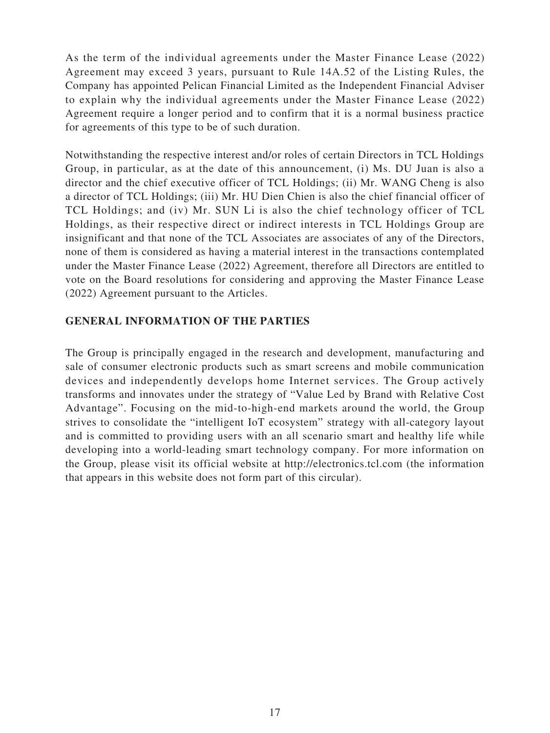As the term of the individual agreements under the Master Finance Lease (2022) Agreement may exceed 3 years, pursuant to Rule 14A.52 of the Listing Rules, the Company has appointed Pelican Financial Limited as the Independent Financial Adviser to explain why the individual agreements under the Master Finance Lease (2022) Agreement require a longer period and to confirm that it is a normal business practice for agreements of this type to be of such duration.

Notwithstanding the respective interest and/or roles of certain Directors in TCL Holdings Group, in particular, as at the date of this announcement, (i) Ms. DU Juan is also a director and the chief executive officer of TCL Holdings; (ii) Mr. WANG Cheng is also a director of TCL Holdings; (iii) Mr. HU Dien Chien is also the chief financial officer of TCL Holdings; and (iv) Mr. SUN Li is also the chief technology officer of TCL Holdings, as their respective direct or indirect interests in TCL Holdings Group are insignificant and that none of the TCL Associates are associates of any of the Directors, none of them is considered as having a material interest in the transactions contemplated under the Master Finance Lease (2022) Agreement, therefore all Directors are entitled to vote on the Board resolutions for considering and approving the Master Finance Lease (2022) Agreement pursuant to the Articles.

### **GENERAL INFORMATION OF THE PARTIES**

The Group is principally engaged in the research and development, manufacturing and sale of consumer electronic products such as smart screens and mobile communication devices and independently develops home Internet services. The Group actively transforms and innovates under the strategy of "Value Led by Brand with Relative Cost Advantage". Focusing on the mid-to-high-end markets around the world, the Group strives to consolidate the "intelligent IoT ecosystem" strategy with all-category layout and is committed to providing users with an all scenario smart and healthy life while developing into a world-leading smart technology company. For more information on the Group, please visit its official website at http://electronics.tcl.com (the information that appears in this website does not form part of this circular).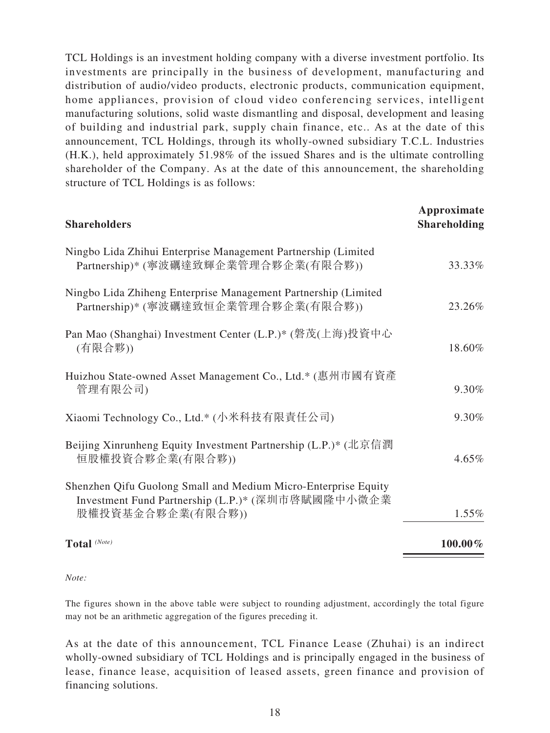TCL Holdings is an investment holding company with a diverse investment portfolio. Its investments are principally in the business of development, manufacturing and distribution of audio/video products, electronic products, communication equipment, home appliances, provision of cloud video conferencing services, intelligent manufacturing solutions, solid waste dismantling and disposal, development and leasing of building and industrial park, supply chain finance, etc.. As at the date of this announcement, TCL Holdings, through its wholly-owned subsidiary T.C.L. Industries (H.K.), held approximately 51.98% of the issued Shares and is the ultimate controlling shareholder of the Company. As at the date of this announcement, the shareholding structure of TCL Holdings is as follows:

| <b>Shareholders</b>                                                                                                                      | Approximate<br><b>Shareholding</b> |
|------------------------------------------------------------------------------------------------------------------------------------------|------------------------------------|
| Ningbo Lida Zhihui Enterprise Management Partnership (Limited<br>Partnership)* (寧波礪達致輝企業管理合夥企業(有限合夥))                                    | 33.33%                             |
| Ningbo Lida Zhiheng Enterprise Management Partnership (Limited<br>Partnership)* (寧波礪達致恒企業管理合夥企業(有限合夥))                                   | 23.26%                             |
| Pan Mao (Shanghai) Investment Center (L.P.)* (磐茂(上海)投資中心<br>(有限合夥))                                                                      | 18.60%                             |
| Huizhou State-owned Asset Management Co., Ltd.* (惠州市國有資產<br>管理有限公司)                                                                      | 9.30%                              |
| Xiaomi Technology Co., Ltd.* (小米科技有限責任公司)                                                                                                | 9.30%                              |
| Beijing Xinrunheng Equity Investment Partnership (L.P.)* (北京信潤<br>恒股權投資合夥企業(有限合夥))                                                       | $4.65\%$                           |
| Shenzhen Qifu Guolong Small and Medium Micro-Enterprise Equity<br>Investment Fund Partnership (L.P.)* (深圳市啓賦國隆中小微企業<br>股權投資基金合夥企業(有限合夥)) | 1.55%                              |
| Total (Note)                                                                                                                             | 100.00%                            |

#### *Note:*

The figures shown in the above table were subject to rounding adjustment, accordingly the total figure may not be an arithmetic aggregation of the figures preceding it.

As at the date of this announcement, TCL Finance Lease (Zhuhai) is an indirect wholly-owned subsidiary of TCL Holdings and is principally engaged in the business of lease, finance lease, acquisition of leased assets, green finance and provision of financing solutions.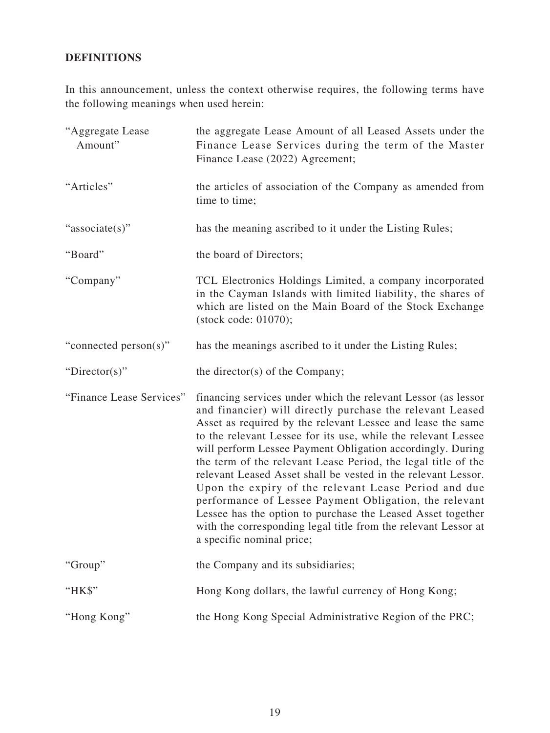## **DEFINITIONS**

In this announcement, unless the context otherwise requires, the following terms have the following meanings when used herein:

| "Aggregate Lease<br>Amount" | the aggregate Lease Amount of all Leased Assets under the<br>Finance Lease Services during the term of the Master<br>Finance Lease (2022) Agreement;                                                                                                                                                                                                                                                                                                                                                                                                                                                                                                                                                                                       |
|-----------------------------|--------------------------------------------------------------------------------------------------------------------------------------------------------------------------------------------------------------------------------------------------------------------------------------------------------------------------------------------------------------------------------------------------------------------------------------------------------------------------------------------------------------------------------------------------------------------------------------------------------------------------------------------------------------------------------------------------------------------------------------------|
| "Articles"                  | the articles of association of the Company as amended from<br>time to time;                                                                                                                                                                                                                                                                                                                                                                                                                                                                                                                                                                                                                                                                |
| "associate(s)"              | has the meaning ascribed to it under the Listing Rules;                                                                                                                                                                                                                                                                                                                                                                                                                                                                                                                                                                                                                                                                                    |
| "Board"                     | the board of Directors;                                                                                                                                                                                                                                                                                                                                                                                                                                                                                                                                                                                                                                                                                                                    |
| "Company"                   | TCL Electronics Holdings Limited, a company incorporated<br>in the Cayman Islands with limited liability, the shares of<br>which are listed on the Main Board of the Stock Exchange<br>(stock code: 01070);                                                                                                                                                                                                                                                                                                                                                                                                                                                                                                                                |
| "connected person(s)"       | has the meanings ascribed to it under the Listing Rules;                                                                                                                                                                                                                                                                                                                                                                                                                                                                                                                                                                                                                                                                                   |
| "Director(s)"               | the director(s) of the Company;                                                                                                                                                                                                                                                                                                                                                                                                                                                                                                                                                                                                                                                                                                            |
| "Finance Lease Services"    | financing services under which the relevant Lessor (as lessor<br>and financier) will directly purchase the relevant Leased<br>Asset as required by the relevant Lessee and lease the same<br>to the relevant Lessee for its use, while the relevant Lessee<br>will perform Lessee Payment Obligation accordingly. During<br>the term of the relevant Lease Period, the legal title of the<br>relevant Leased Asset shall be vested in the relevant Lessor.<br>Upon the expiry of the relevant Lease Period and due<br>performance of Lessee Payment Obligation, the relevant<br>Lessee has the option to purchase the Leased Asset together<br>with the corresponding legal title from the relevant Lessor at<br>a specific nominal price; |
| "Group"                     | the Company and its subsidiaries;                                                                                                                                                                                                                                                                                                                                                                                                                                                                                                                                                                                                                                                                                                          |
| "HK\$"                      | Hong Kong dollars, the lawful currency of Hong Kong;                                                                                                                                                                                                                                                                                                                                                                                                                                                                                                                                                                                                                                                                                       |
| "Hong Kong"                 | the Hong Kong Special Administrative Region of the PRC;                                                                                                                                                                                                                                                                                                                                                                                                                                                                                                                                                                                                                                                                                    |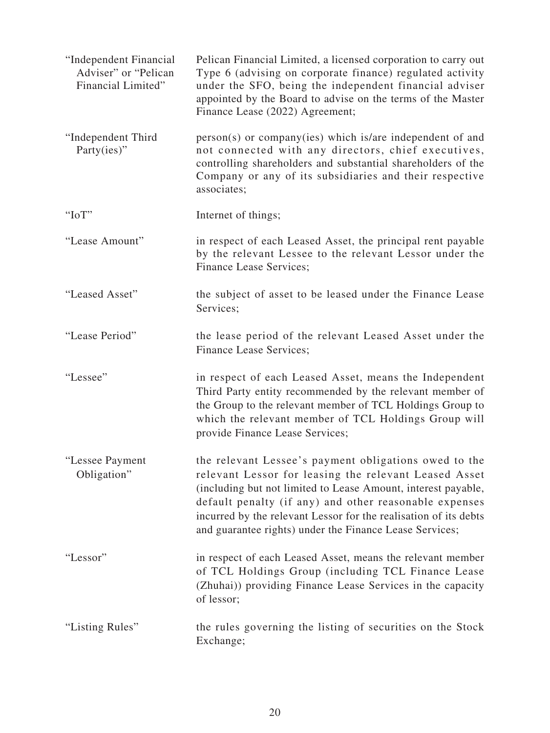| "Independent Financial<br>Adviser" or "Pelican<br>Financial Limited" | Pelican Financial Limited, a licensed corporation to carry out<br>Type 6 (advising on corporate finance) regulated activity<br>under the SFO, being the independent financial adviser<br>appointed by the Board to advise on the terms of the Master<br>Finance Lease (2022) Agreement;                                                                                  |
|----------------------------------------------------------------------|--------------------------------------------------------------------------------------------------------------------------------------------------------------------------------------------------------------------------------------------------------------------------------------------------------------------------------------------------------------------------|
| "Independent Third<br>Party(ies)"                                    | $person(s)$ or company(ies) which is/are independent of and<br>not connected with any directors, chief executives,<br>controlling shareholders and substantial shareholders of the<br>Company or any of its subsidiaries and their respective<br>associates;                                                                                                             |
| " $IoT$ "                                                            | Internet of things;                                                                                                                                                                                                                                                                                                                                                      |
| "Lease Amount"                                                       | in respect of each Leased Asset, the principal rent payable<br>by the relevant Lessee to the relevant Lessor under the<br>Finance Lease Services;                                                                                                                                                                                                                        |
| "Leased Asset"                                                       | the subject of asset to be leased under the Finance Lease<br>Services;                                                                                                                                                                                                                                                                                                   |
| "Lease Period"                                                       | the lease period of the relevant Leased Asset under the<br>Finance Lease Services;                                                                                                                                                                                                                                                                                       |
| "Lessee"                                                             | in respect of each Leased Asset, means the Independent<br>Third Party entity recommended by the relevant member of<br>the Group to the relevant member of TCL Holdings Group to<br>which the relevant member of TCL Holdings Group will<br>provide Finance Lease Services;                                                                                               |
| "Lessee Payment<br>Obligation"                                       | the relevant Lessee's payment obligations owed to the<br>relevant Lessor for leasing the relevant Leased Asset<br>(including but not limited to Lease Amount, interest payable,<br>default penalty (if any) and other reasonable expenses<br>incurred by the relevant Lessor for the realisation of its debts<br>and guarantee rights) under the Finance Lease Services; |
| "Lessor"                                                             | in respect of each Leased Asset, means the relevant member<br>of TCL Holdings Group (including TCL Finance Lease<br>(Zhuhai)) providing Finance Lease Services in the capacity<br>of lessor;                                                                                                                                                                             |
| "Listing Rules"                                                      | the rules governing the listing of securities on the Stock<br>Exchange;                                                                                                                                                                                                                                                                                                  |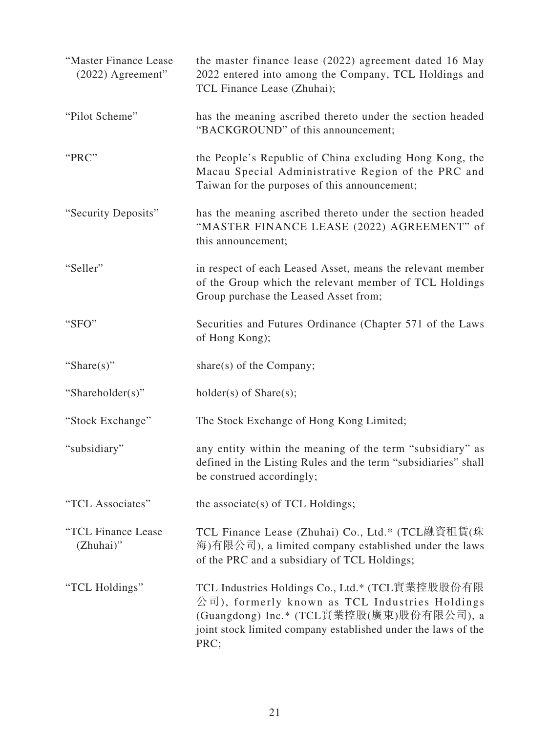| "Master Finance Lease<br>(2022) Agreement" | the master finance lease (2022) agreement dated 16 May<br>2022 entered into among the Company, TCL Holdings and<br>TCL Finance Lease (Zhuhai);                                                                 |
|--------------------------------------------|----------------------------------------------------------------------------------------------------------------------------------------------------------------------------------------------------------------|
| "Pilot Scheme"                             | has the meaning ascribed thereto under the section headed<br>"BACKGROUND" of this announcement;                                                                                                                |
| "PRC"                                      | the People's Republic of China excluding Hong Kong, the<br>Macau Special Administrative Region of the PRC and<br>Taiwan for the purposes of this announcement;                                                 |
| "Security Deposits"                        | has the meaning ascribed thereto under the section headed<br>"MASTER FINANCE LEASE (2022) AGREEMENT" of<br>this announcement;                                                                                  |
| "Seller"                                   | in respect of each Leased Asset, means the relevant member<br>of the Group which the relevant member of TCL Holdings<br>Group purchase the Leased Asset from;                                                  |
| "SFO"                                      | Securities and Futures Ordinance (Chapter 571 of the Laws<br>of Hong Kong);                                                                                                                                    |
| "Share $(s)$ "                             | share(s) of the Company;                                                                                                                                                                                       |
| "Shareholder(s)"                           | $holder(s)$ of Share $(s)$ ;                                                                                                                                                                                   |
| "Stock Exchange"                           | The Stock Exchange of Hong Kong Limited;                                                                                                                                                                       |
| "subsidiary"                               | any entity within the meaning of the term "subsidiary" as<br>defined in the Listing Rules and the term "subsidiaries" shall<br>be construed accordingly;                                                       |
| "TCL Associates"                           | the associate(s) of TCL Holdings;                                                                                                                                                                              |
| "TCL Finance Lease<br>(Zhuhai)"            | TCL Finance Lease (Zhuhai) Co., Ltd.* (TCL融資租賃(珠<br>海)有限公司), a limited company established under the laws<br>of the PRC and a subsidiary of TCL Holdings;                                                      |
| "TCL Holdings"                             | TCL Industries Holdings Co., Ltd.* (TCL實業控股股份有限<br>公司), formerly known as TCL Industries Holdings<br>(Guangdong) Inc.* (TCL實業控股(廣東)股份有限公司), a<br>joint stock limited company established under the laws of the |